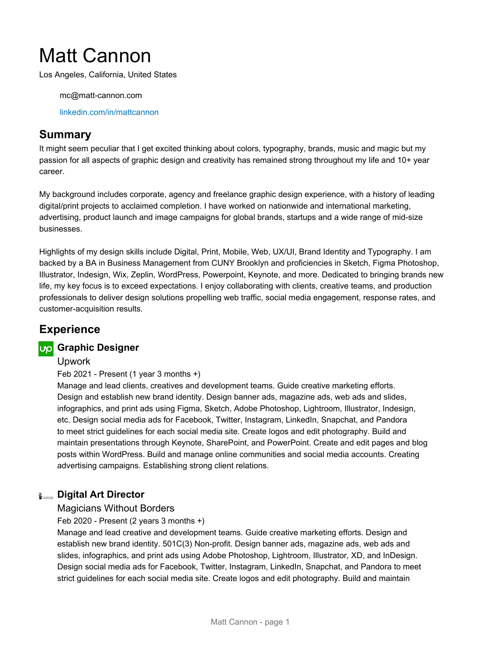# Matt Cannon

Los Angeles, California, United States

mc@matt-cannon.com

[linkedin.com/in/mattcannon](https://www.linkedin.com/in/mattcannon)

# **Summary**

It might seem peculiar that I get excited thinking about colors, typography, brands, music and magic but my passion for all aspects of graphic design and creativity has remained strong throughout my life and 10+ year career.

My background includes corporate, agency and freelance graphic design experience, with a history of leading digital/print projects to acclaimed completion. I have worked on nationwide and international marketing, advertising, product launch and image campaigns for global brands, startups and a wide range of mid-size businesses.

Highlights of my design skills include Digital, Print, Mobile, Web, UX/UI, Brand Identity and Typography. I am backed by a BA in Business Management from CUNY Brooklyn and proficiencies in Sketch, Figma Photoshop, Illustrator, Indesign, Wix, Zeplin, WordPress, Powerpoint, Keynote, and more. Dedicated to bringing brands new life, my key focus is to exceed expectations. I enjoy collaborating with clients, creative teams, and production professionals to deliver design solutions propelling web traffic, social media engagement, response rates, and customer-acquisition results.

# **Experience**

# **Graphic Designer**

Upwork

Feb 2021 - Present (1 year 3 months +)

Manage and lead clients, creatives and development teams. Guide creative marketing efforts. Design and establish new brand identity. Design banner ads, magazine ads, web ads and slides, infographics, and print ads using Figma, Sketch, Adobe Photoshop, Lightroom, Illustrator, Indesign, etc. Design social media ads for Facebook, Twitter, Instagram, LinkedIn, Snapchat, and Pandora to meet strict guidelines for each social media site. Create logos and edit photography. Build and maintain presentations through Keynote, SharePoint, and PowerPoint. Create and edit pages and blog posts within WordPress. Build and manage online communities and social media accounts. Creating advertising campaigns. Establishing strong client relations.

# **Digital Art Director**

#### Magicians Without Borders

Feb 2020 - Present (2 years 3 months +)

Manage and lead creative and development teams. Guide creative marketing efforts. Design and establish new brand identity. 501C(3) Non-profit. Design banner ads, magazine ads, web ads and slides, infographics, and print ads using Adobe Photoshop, Lightroom, Illustrator, XD, and InDesign. Design social media ads for Facebook, Twitter, Instagram, LinkedIn, Snapchat, and Pandora to meet strict guidelines for each social media site. Create logos and edit photography. Build and maintain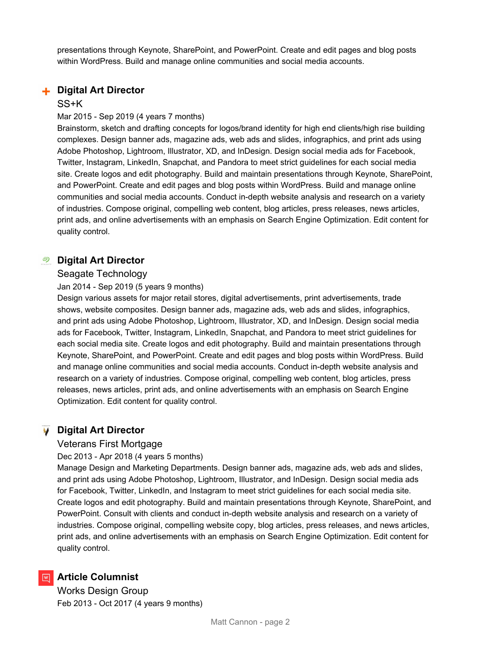presentations through Keynote, SharePoint, and PowerPoint. Create and edit pages and blog posts within WordPress. Build and manage online communities and social media accounts.

# **Digital Art Director**

#### SS+K

#### Mar 2015 - Sep 2019 (4 years 7 months)

Brainstorm, sketch and drafting concepts for logos/brand identity for high end clients/high rise building complexes. Design banner ads, magazine ads, web ads and slides, infographics, and print ads using Adobe Photoshop, Lightroom, Illustrator, XD, and InDesign. Design social media ads for Facebook, Twitter, Instagram, LinkedIn, Snapchat, and Pandora to meet strict guidelines for each social media site. Create logos and edit photography. Build and maintain presentations through Keynote, SharePoint, and PowerPoint. Create and edit pages and blog posts within WordPress. Build and manage online communities and social media accounts. Conduct in-depth website analysis and research on a variety of industries. Compose original, compelling web content, blog articles, press releases, news articles, print ads, and online advertisements with an emphasis on Search Engine Optimization. Edit content for quality control.

# **Digital Art Director**

#### Seagate Technology

#### Jan 2014 - Sep 2019 (5 years 9 months)

Design various assets for major retail stores, digital advertisements, print advertisements, trade shows, website composites. Design banner ads, magazine ads, web ads and slides, infographics, and print ads using Adobe Photoshop, Lightroom, Illustrator, XD, and InDesign. Design social media ads for Facebook, Twitter, Instagram, LinkedIn, Snapchat, and Pandora to meet strict guidelines for each social media site. Create logos and edit photography. Build and maintain presentations through Keynote, SharePoint, and PowerPoint. Create and edit pages and blog posts within WordPress. Build and manage online communities and social media accounts. Conduct in-depth website analysis and research on a variety of industries. Compose original, compelling web content, blog articles, press releases, news articles, print ads, and online advertisements with an emphasis on Search Engine Optimization. Edit content for quality control.

# **Digital Art Director**

#### Veterans First Mortgage

#### Dec 2013 - Apr 2018 (4 years 5 months)

Manage Design and Marketing Departments. Design banner ads, magazine ads, web ads and slides, and print ads using Adobe Photoshop, Lightroom, Illustrator, and InDesign. Design social media ads for Facebook, Twitter, LinkedIn, and Instagram to meet strict guidelines for each social media site. Create logos and edit photography. Build and maintain presentations through Keynote, SharePoint, and PowerPoint. Consult with clients and conduct in-depth website analysis and research on a variety of industries. Compose original, compelling website copy, blog articles, press releases, and news articles, print ads, and online advertisements with an emphasis on Search Engine Optimization. Edit content for quality control.

# **M** Article Columnist

Works Design Group Feb 2013 - Oct 2017 (4 years 9 months)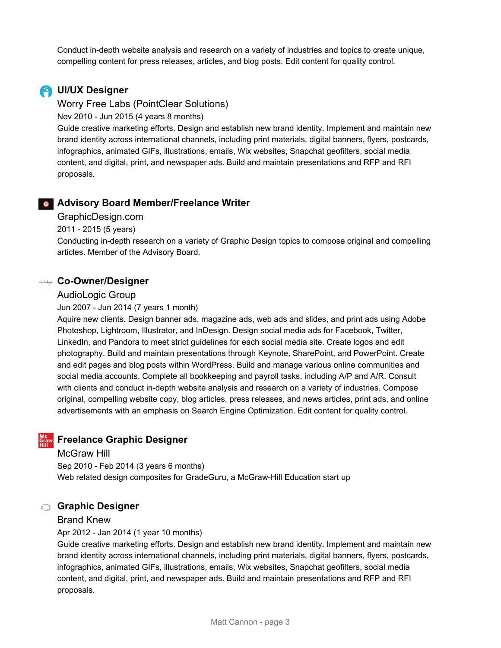Conduct in-depth website analysis and research on a variety of industries and topics to create unique, compelling content for press releases, articles, and blog posts. Edit content for quality control.

# **UI/UX Designer**

Worry Free Labs (PointClear Solutions)

Nov 2010 - Jun 2015 (4 years 8 months)

Guide creative marketing efforts. Design and establish new brand identity. Implement and maintain new brand identity across international channels, including print materials, digital banners, flyers, postcards, infographics, animated GIFs, illustrations, emails, Wix websites, Snapchat geofilters, social media content, and digital, print, and newspaper ads. Build and maintain presentations and RFP and RFI proposals.

# **Advisory Board Member/Freelance Writer**

GraphicDesign.com

2011 - 2015 (5 years)

Conducting in-depth research on a variety of Graphic Design topics to compose original and compelling articles. Member of the Advisory Board.

# **Co-Owner/Designer**

#### AudioLogic Group

Jun 2007 - Jun 2014 (7 years 1 month)

Aquire new clients. Design banner ads, magazine ads, web ads and slides, and print ads using Adobe Photoshop, Lightroom, Illustrator, and InDesign. Design social media ads for Facebook, Twitter, LinkedIn, and Pandora to meet strict guidelines for each social media site. Create logos and edit photography. Build and maintain presentations through Keynote, SharePoint, and PowerPoint. Create and edit pages and blog posts within WordPress. Build and manage various online communities and social media accounts. Complete all bookkeeping and payroll tasks, including A/P and A/R. Consult with clients and conduct in-depth website analysis and research on a variety of industries. Compose original, compelling website copy, blog articles, press releases, and news articles, print ads, and online advertisements with an emphasis on Search Engine Optimization. Edit content for quality control.

# **Freelance Graphic Designer**

#### McGraw Hill

Sep 2010 - Feb 2014 (3 years 6 months) Web related design composites for GradeGuru, a McGraw-Hill Education start up

# **Graphic Designer**

# Brand Knew

Apr 2012 - Jan 2014 (1 year 10 months)

Guide creative marketing efforts. Design and establish new brand identity. Implement and maintain new brand identity across international channels, including print materials, digital banners, flyers, postcards, infographics, animated GIFs, illustrations, emails, Wix websites, Snapchat geofilters, social media content, and digital, print, and newspaper ads. Build and maintain presentations and RFP and RFI proposals.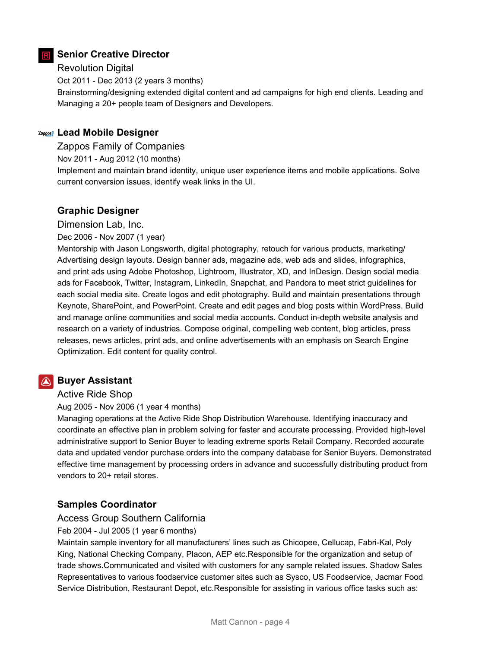# **Senior Creative Director**

# Revolution Digital

Oct 2011 - Dec 2013 (2 years 3 months)

Brainstorming/designing extended digital content and ad campaigns for high end clients. Leading and Managing a 20+ people team of Designers and Developers.

# **Lead Mobile Designer**

Zappos Family of Companies

Nov 2011 - Aug 2012 (10 months)

Implement and maintain brand identity, unique user experience items and mobile applications. Solve current conversion issues, identify weak links in the UI.

# **Graphic Designer**

Dimension Lab, Inc.

Dec 2006 - Nov 2007 (1 year)

Mentorship with Jason Longsworth, digital photography, retouch for various products, marketing/ Advertising design layouts. Design banner ads, magazine ads, web ads and slides, infographics, and print ads using Adobe Photoshop, Lightroom, Illustrator, XD, and InDesign. Design social media ads for Facebook, Twitter, Instagram, LinkedIn, Snapchat, and Pandora to meet strict guidelines for each social media site. Create logos and edit photography. Build and maintain presentations through Keynote, SharePoint, and PowerPoint. Create and edit pages and blog posts within WordPress. Build and manage online communities and social media accounts. Conduct in-depth website analysis and research on a variety of industries. Compose original, compelling web content, blog articles, press releases, news articles, print ads, and online advertisements with an emphasis on Search Engine Optimization. Edit content for quality control.

# **Buyer Assistant**

#### Active Ride Shop

Aug 2005 - Nov 2006 (1 year 4 months)

Managing operations at the Active Ride Shop Distribution Warehouse. Identifying inaccuracy and coordinate an effective plan in problem solving for faster and accurate processing. Provided high-level administrative support to Senior Buyer to leading extreme sports Retail Company. Recorded accurate data and updated vendor purchase orders into the company database for Senior Buyers. Demonstrated effective time management by processing orders in advance and successfully distributing product from vendors to 20+ retail stores.

# **Samples Coordinator**

# Access Group Southern California

#### Feb 2004 - Jul 2005 (1 year 6 months)

Maintain sample inventory for all manufacturers' lines such as Chicopee, Cellucap, Fabri-Kal, Poly King, National Checking Company, Placon, AEP etc.Responsible for the organization and setup of trade shows.Communicated and visited with customers for any sample related issues. Shadow Sales Representatives to various foodservice customer sites such as Sysco, US Foodservice, Jacmar Food Service Distribution, Restaurant Depot, etc.Responsible for assisting in various office tasks such as: